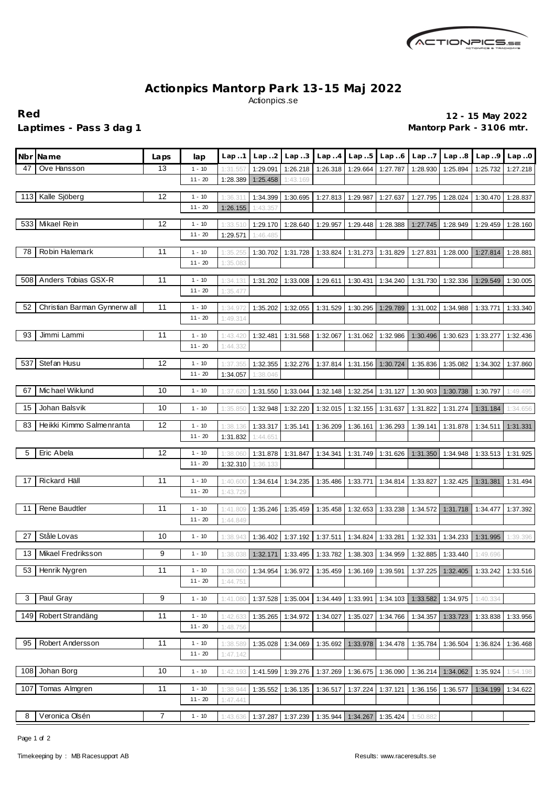

## **Actionpics Mantorp Park 13-15 Maj 2022** Actionpics.se

Laptimes - Pass 3 dag 1 **Mantorp Park - 3106 mtr.** 

**Red 12 - 15 May 2022**

|     | Nbr Name                     | Laps | lap                   | Lap.1                | Lap.2    | Lap.3    | Lap.4                                     | Lap.5    | Lap.6    | Lap.7    | Lap.8             | Lap.9    | Lap.0             |
|-----|------------------------------|------|-----------------------|----------------------|----------|----------|-------------------------------------------|----------|----------|----------|-------------------|----------|-------------------|
| 47  | Ove Hansson                  | 13   | $1 - 10$              | 1:31.55              | 1:29.091 | 1:26.218 | 1:26.318                                  | 1:29.664 | 1:27.787 | 1:28.930 | 1:25.894          | 1:25.732 | 1:27.218          |
|     |                              |      | $11 - 20$             | 1:28.389             | 1:25.458 | 1:43.169 |                                           |          |          |          |                   |          |                   |
| 113 | Kalle Sjöberg                | 12   | $1 - 10$              | 1:36.31              | 1:34.399 | 1:30.695 | 1:27.813                                  | 1:29.987 | 1:27.637 | 1:27.795 | 1:28.024          | 1:30.470 | 1:28.837          |
|     |                              |      | $11 - 20$             | 1:26.155             | 1:43.357 |          |                                           |          |          |          |                   |          |                   |
|     |                              |      |                       |                      |          |          |                                           |          |          |          |                   |          |                   |
|     | 533 Mikael Rein              | 12   | $1 - 10$              | 1:33.510             | 1:29.170 | 1:28.640 | 1:29.957                                  | 1:29.448 | 1:28.388 | 1:27.745 | 1:28.949          | 1:29.459 | 1:28.160          |
|     |                              |      | $11 - 20$             | 1:29.571             | 1:46.485 |          |                                           |          |          |          |                   |          |                   |
| 78  | Robin Halemark               | 11   | $1 - 10$              | 1:35.255             | 1:30.702 | 1:31.728 | 1:33.824                                  | 1:31.273 | 1:31.829 | 1:27.831 | 1:28.000          | 1:27.814 | 1:28.881          |
|     |                              |      | $11 - 20$             | 1:35.083             |          |          |                                           |          |          |          |                   |          |                   |
|     |                              |      |                       |                      |          |          |                                           |          |          |          |                   |          |                   |
| 508 | Anders Tobias GSX-R          | 11   | $1 - 10$              | 1:34.131             | 1:31.202 | 1:33.008 | 1:29.611                                  | 1:30.431 | 1:34.240 | 1:31.730 | 1:32.336          | 1:29.549 | 1:30.005          |
|     |                              |      | $11 - 20$             | 1:35.477             |          |          |                                           |          |          |          |                   |          |                   |
| 52  | Christian Barman Gynnerw all | 11   | $1 - 10$              | 1:34.972             | 1:35.202 | 1:32.055 | 1:31.529                                  | 1:30.295 | 1:29.789 | 1:31.002 | 1:34.988          | 1:33.771 | 1:33.340          |
|     |                              |      | $11 - 20$             | 1:49.314             |          |          |                                           |          |          |          |                   |          |                   |
| 93  | Jimmi Lammi                  | 11   | $1 - 10$              |                      | 1:32.481 |          |                                           |          |          |          |                   |          |                   |
|     |                              |      | $11 - 20$             | 1:43.420<br>1:44.332 |          | 1:31.568 | 1:32.067                                  | 1:31.062 | 1:32.986 | 1:30.496 | 1:30.623          | 1:33.277 | 1:32.436          |
|     |                              |      |                       |                      |          |          |                                           |          |          |          |                   |          |                   |
| 537 | Stefan Husu                  | 12   | $1 - 10$              | 1:37.35              | 1:32.355 | 1:32.276 | 1:37.814                                  | 1:31.156 | 1:30.724 | 1:35.836 | 1:35.082          | 1:34.302 | 1:37.860          |
|     |                              |      | $11 - 20$             | 1:34.057             | 1:38.046 |          |                                           |          |          |          |                   |          |                   |
| 67  | Michael Wiklund              | 10   | $1 - 10$              | 1:37.620             | 1:31.550 | 1:33.044 | 1:32.148                                  | 1:32.254 | 1:31.127 | 1:30.903 | 1:30.738          | 1:30.797 | 1:49.495          |
|     |                              |      |                       |                      |          |          |                                           |          |          |          |                   |          |                   |
| 15  | Johan Balsvik                | 10   | $1 - 10$              | 1:35.850             | 1:32.948 | 1:32.220 | 1:32.015                                  | 1:32.155 | 1:31.637 | 1:31.822 | 1:31.274          | 1:31.184 | 1:34.656          |
| 83  | Heikki Kimmo Salmenranta     | 12   | $1 - 10$              | 1:38.136             | 1:33.317 | 1:35.141 | 1:36.209                                  | 1:36.161 | 1:36.293 | 1:39.141 | 1:31.878          | 1:34.511 | 1:31.331          |
|     |                              |      | $11 - 20$             | 1:31.832             | 1:44.651 |          |                                           |          |          |          |                   |          |                   |
|     |                              |      |                       |                      |          |          |                                           |          |          |          |                   |          |                   |
| 5   | Eric Abela                   | 12   | $1 - 10$              | 1:38.060             | 1:31.878 | 1:31.847 | 1:34.341                                  | 1:31.749 | 1:31.626 | 1:31.350 | 1:34.948          | 1:33.513 | 1:31.925          |
|     |                              |      | $11 - 20$             | 1:32.310             | 1:36.133 |          |                                           |          |          |          |                   |          |                   |
| 17  | Rickard Häll                 | 11   | $1 - 10$              | 1:40.600             | 1:34.614 | 1:34.235 | 1:35.486                                  | 1:33.771 | 1:34.814 | 1:33.827 | 1:32.425          | 1:31.381 | 1:31.494          |
|     |                              |      | $11 - 20$             | 1:43.729             |          |          |                                           |          |          |          |                   |          |                   |
|     |                              | 11   |                       |                      |          |          |                                           |          |          |          |                   |          |                   |
| 11  | Rene Baudtler                |      | $1 - 10$<br>$11 - 20$ | 1:41.809             | 1:35.246 | 1:35.459 | 1:35.458                                  | 1:32.653 | 1:33.238 | 1:34.572 | 1:31.718          | 1:34.477 | 1:37.392          |
|     |                              |      |                       | 1:44.849             |          |          |                                           |          |          |          |                   |          |                   |
| 27  | Ståle Lovas                  | 10   | $1 - 10$              | 1:38.943             | 1:36.402 | 1:37.192 | 1:37.511                                  | 1:34.824 | 1:33.281 | 1:32.331 | 1:34.233          | 1:31.995 | 1:39.396          |
| 13  | Mikael Fredriksson           | 9    | $1 - 10$              | 1:38.038             | 1:32.171 |          |                                           | 1:38.303 | 1:34.959 |          | 1:33.440          | 1:49.696 |                   |
|     |                              |      |                       |                      |          | 1:33.495 | 1:33.782                                  |          |          | 1:32.885 |                   |          |                   |
|     | 53 Henrik Nygren             | 11   | $1 - 10$              | 1:38.060             | 1:34.954 |          | 1:36.972   1:35.459   1:36.169   1:39.591 |          |          |          | 1:37.225 1:32.405 |          | 1:33.242 1:33.516 |
|     |                              |      | $11 - 20$             | 1:44.751             |          |          |                                           |          |          |          |                   |          |                   |
| 3   | Paul Gray                    | 9    | $1 - 10$              | 1:41.080             | 1:37.528 | 1:35.004 | 1:34.449                                  | 1:33.991 | 1:34.103 | 1:33.582 | 1:34.975          | 1:40.334 |                   |
|     |                              |      |                       |                      |          |          |                                           |          |          |          |                   |          |                   |
| 149 | Robert Strandäng             | 11   | $1 - 10$              | 1:42.633             | 1:35.265 | 1:34.972 | 1:34.027                                  | 1:35.027 | 1:34.766 | 1:34.357 | 1:33.723          | 1:33.838 | 1:33.956          |
|     |                              |      | $11 - 20$             | 1:48.756             |          |          |                                           |          |          |          |                   |          |                   |
| 95  | Robert Andersson             | 11   | $1 - 10$              | 1:38.589             | 1:35.028 | 1:34.069 | 1:35.692                                  | 1:33.978 | 1:34.478 | 1:35.784 | 1:36.504          | 1:36.824 | 1:36.468          |
|     |                              |      | $11 - 20$             | 1:47.142             |          |          |                                           |          |          |          |                   |          |                   |
|     |                              |      |                       |                      |          |          |                                           |          |          |          |                   |          |                   |
| 108 | Johan Borg                   | 10   | $1 - 10$              | 1:42.193             | 1:41.599 | 1:39.276 | 1:37.269                                  | 1:36.675 | 1:36.090 | 1:36.214 | 1:34.062          | 1:35.924 | 1:54.198          |
| 107 | Tomas Almgren                | 11   | $1 - 10$              | 1:38.944             | 1:35.552 | 1:36.135 | 1:36.517                                  | 1:37.224 | 1:37.121 | 1:36.156 | 1:36.577          | 1:34.199 | 1:34.622          |
|     |                              |      | $11 - 20$             | 1:47.441             |          |          |                                           |          |          |          |                   |          |                   |
| 8   | Veronica Olsén               | 7    |                       |                      |          |          |                                           |          |          |          |                   |          |                   |
|     |                              |      | $1 - 10$              | 1:43.636             | 1:37.287 | 1:37.239 | 1:35.944                                  | 1:34.267 | 1:35.424 | 1:50.882 |                   |          |                   |